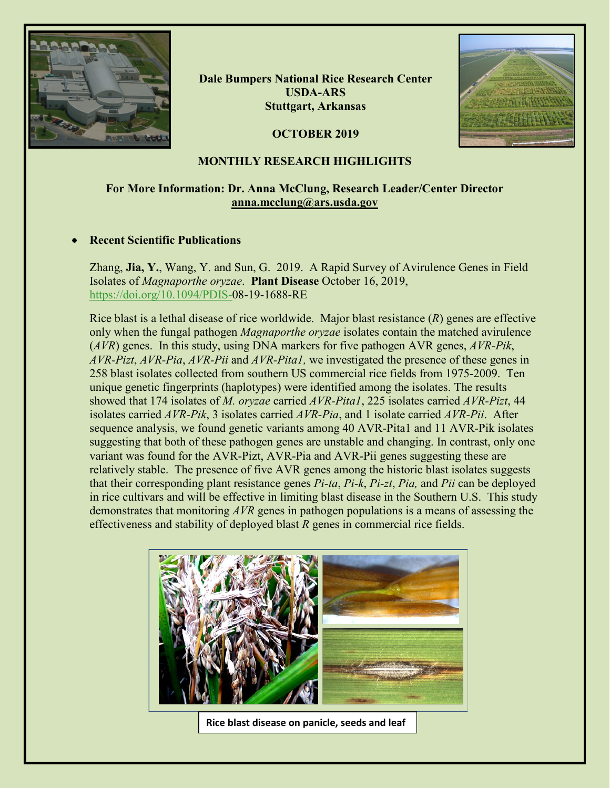

**Dale Bumpers National Rice Research Center USDA-ARS Stuttgart, Arkansas**

**OCTOBER 2019**



## **MONTHLY RESEARCH HIGHLIGHTS**

# **For More Information: Dr. Anna McClung, Research Leader/Center Director [anna.mcclung@ars.usda.gov](mailto:anna.mcclung@ars.usda.gov)**

### • **Recent Scientific Publications**

Zhang, **Jia, Y.**, Wang, Y. and Sun, G. 2019. A Rapid Survey of Avirulence Genes in Field Isolates of *Magnaporthe oryzae*. **Plant Disease** October 16, 2019, [https://doi.org/10.1094/PDIS-0](https://doi.org/10.1094/PDIS-)8-19-1688-RE

Rice blast is a lethal disease of rice worldwide. Major blast resistance (*R*) genes are effective only when the fungal pathogen *Magnaporthe oryzae* isolates contain the matched avirulence (*AVR*) genes. In this study, using DNA markers for five pathogen AVR genes, *AVR-Pik*, *AVR-Pizt*, *AVR-Pia*, *AVR-Pii* and *AVR-Pita1,* we investigated the presence of these genes in 258 blast isolates collected from southern US commercial rice fields from 1975-2009. Ten unique genetic fingerprints (haplotypes) were identified among the isolates. The results showed that 174 isolates of *M. oryzae* carried *AVR-Pita1*, 225 isolates carried *AVR-Pizt*, 44 isolates carried *AVR-Pik*, 3 isolates carried *AVR-Pia*, and 1 isolate carried *AVR-Pii*. After sequence analysis, we found genetic variants among 40 AVR-Pita1 and 11 AVR-Pik isolates suggesting that both of these pathogen genes are unstable and changing. In contrast, only one variant was found for the AVR-Pizt, AVR-Pia and AVR-Pii genes suggesting these are relatively stable. The presence of five AVR genes among the historic blast isolates suggests that their corresponding plant resistance genes *Pi-ta*, *Pi-k*, *Pi-zt*, *Pia,* and *Pii* can be deployed in rice cultivars and will be effective in limiting blast disease in the Southern U.S. This study demonstrates that monitoring *AVR* genes in pathogen populations is a means of assessing the effectiveness and stability of deployed blast *R* genes in commercial rice fields.



**Rice blast disease on panicle, seeds and leaf**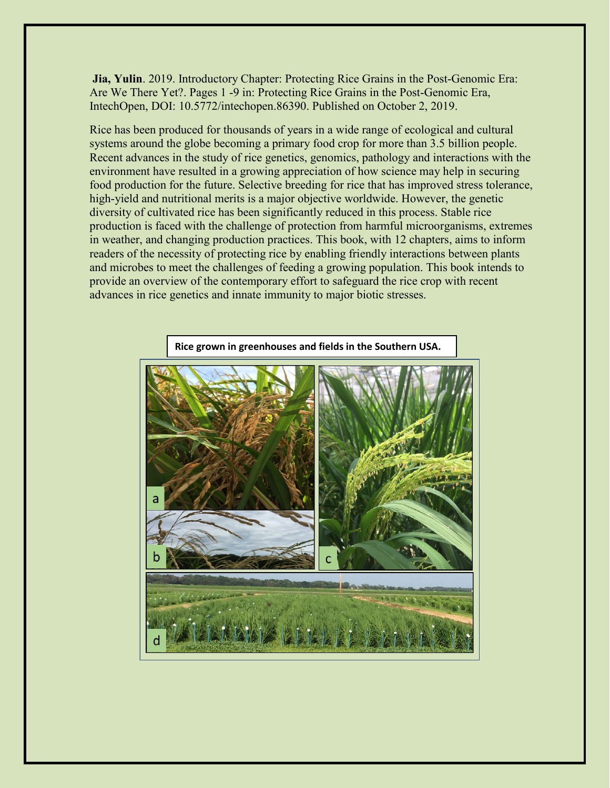**Jia, Yulin**. 2019. Introductory Chapter: Protecting Rice Grains in the Post-Genomic Era: Are We There Yet?. Pages 1 -9 in: Protecting Rice Grains in the Post-Genomic Era, IntechOpen, DOI: 10.5772/intechopen.86390. Published on October 2, 2019.

Rice has been produced for thousands of years in a wide range of ecological and cultural systems around the globe becoming a primary food crop for more than 3.5 billion people. Recent advances in the study of rice genetics, genomics, pathology and interactions with the environment have resulted in a growing appreciation of how science may help in securing food production for the future. Selective breeding for rice that has improved stress tolerance, high-yield and nutritional merits is a major objective worldwide. However, the genetic diversity of cultivated rice has been significantly reduced in this process. Stable rice production is faced with the challenge of protection from harmful microorganisms, extremes in weather, and changing production practices. This book, with 12 chapters, aims to inform readers of the necessity of protecting rice by enabling friendly interactions between plants and microbes to meet the challenges of feeding a growing population. This book intends to provide an overview of the contemporary effort to safeguard the rice crop with recent advances in rice genetics and innate immunity to major biotic stresses.

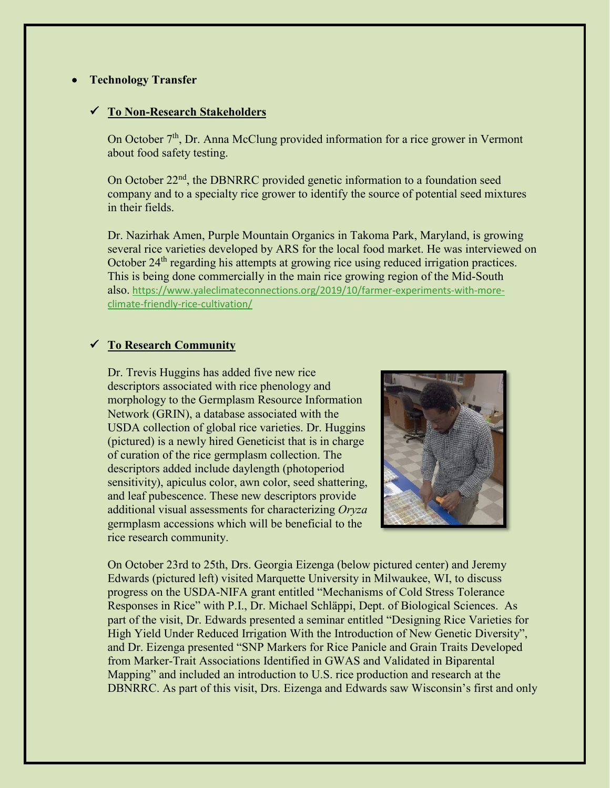### • **Technology Transfer**

#### **To Non-Research Stakeholders**

On October  $7<sup>th</sup>$ , Dr. Anna McClung provided information for a rice grower in Vermont about food safety testing.

On October 22<sup>nd</sup>, the DBNRRC provided genetic information to a foundation seed company and to a specialty rice grower to identify the source of potential seed mixtures in their fields.

Dr. Nazirhak Amen, Purple Mountain Organics in Takoma Park, Maryland, is growing several rice varieties developed by ARS for the local food market. He was interviewed on October 24<sup>th</sup> regarding his attempts at growing rice using reduced irrigation practices. This is being done commercially in the main rice growing region of the Mid-South also. [https://www.yaleclimateconnections.org/2019/10/farmer-experiments-with-more](https://gcc02.safelinks.protection.outlook.com/?url=https%3A%2F%2Fwww.yaleclimateconnections.org%2F2019%2F10%2Ffarmer-experiments-with-more-climate-friendly-rice-cultivation%2F&data=02%7C01%7C%7Ccb9d4bd91ba2470b129e08d758b5da1c%7Ced5b36e701ee4ebc867ee03cfa0d4697%7C0%7C0%7C637075410375862520&sdata=aPX%2Bp13b5HSpLs97a7DEPjBxJhngMEHVonDvxWSNrHo%3D&reserved=0)[climate-friendly-rice-cultivation/](https://gcc02.safelinks.protection.outlook.com/?url=https%3A%2F%2Fwww.yaleclimateconnections.org%2F2019%2F10%2Ffarmer-experiments-with-more-climate-friendly-rice-cultivation%2F&data=02%7C01%7C%7Ccb9d4bd91ba2470b129e08d758b5da1c%7Ced5b36e701ee4ebc867ee03cfa0d4697%7C0%7C0%7C637075410375862520&sdata=aPX%2Bp13b5HSpLs97a7DEPjBxJhngMEHVonDvxWSNrHo%3D&reserved=0)

### **To Research Community**

Dr. Trevis Huggins has added five new rice descriptors associated with rice phenology and morphology to the Germplasm Resource Information Network (GRIN), a database associated with the USDA collection of global rice varieties. Dr. Huggins (pictured) is a newly hired Geneticist that is in charge of curation of the rice germplasm collection. The descriptors added include daylength (photoperiod sensitivity), apiculus color, awn color, seed shattering, and leaf pubescence. These new descriptors provide additional visual assessments for characterizing *Oryza* germplasm accessions which will be beneficial to the rice research community.



On October 23rd to 25th, Drs. Georgia Eizenga (below pictured center) and Jeremy Edwards (pictured left) visited Marquette University in Milwaukee, WI, to discuss progress on the USDA-NIFA grant entitled "Mechanisms of Cold Stress Tolerance Responses in Rice" with P.I., Dr. Michael Schläppi, Dept. of Biological Sciences. As part of the visit, Dr. Edwards presented a seminar entitled "Designing Rice Varieties for High Yield Under Reduced Irrigation With the Introduction of New Genetic Diversity", and Dr. Eizenga presented "SNP Markers for Rice Panicle and Grain Traits Developed from Marker-Trait Associations Identified in GWAS and Validated in Biparental Mapping" and included an introduction to U.S. rice production and research at the DBNRRC. As part of this visit, Drs. Eizenga and Edwards saw Wisconsin's first and only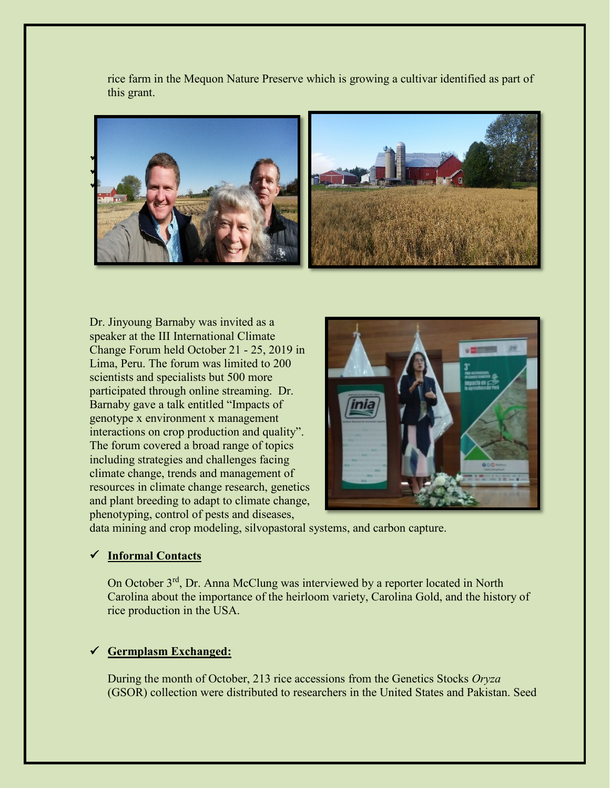rice farm in the Mequon Nature Preserve which is growing a cultivar identified as part of this grant.



Dr. Jinyoung Barnaby was invited as a speaker at the III International Climate Change Forum held October 21 - 25, 2019 in Lima, Peru. The forum was limited to 200 scientists and specialists but 500 more participated through online streaming. Dr. Barnaby gave a talk entitled "Impacts of genotype x environment x management interactions on crop production and quality". The forum covered a broad range of topics including strategies and challenges facing climate change, trends and management of resources in climate change research, genetics and plant breeding to adapt to climate change, phenotyping, control of pests and diseases,



data mining and crop modeling, silvopastoral systems, and carbon capture.

### **Informal Contacts**

On October 3<sup>rd</sup>, Dr. Anna McClung was interviewed by a reporter located in North Carolina about the importance of the heirloom variety, Carolina Gold, and the history of rice production in the USA.

### **Germplasm Exchanged:**

During the month of October, 213 rice accessions from the Genetics Stocks *Oryza*  (GSOR) collection were distributed to researchers in the United States and Pakistan. Seed